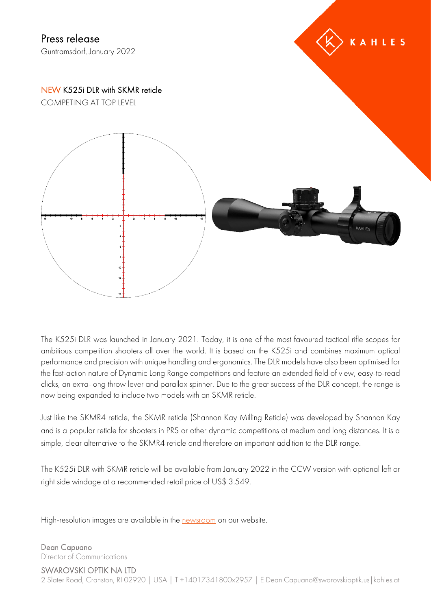

The K525i DLR was launched in January 2021. Today, it is one of the most favoured tactical rifle scopes for ambitious competition shooters all over the world. It is based on the K525i and combines maximum optical performance and precision with unique handling and ergonomics. The DLR models have also been optimised for the fast-action nature of Dynamic Long Range competitions and feature an extended field of view, easy-to-read clicks, an extra-long throw lever and parallax spinner. Due to the great success of the DLR concept, the range is now being expanded to include two models with an SKMR reticle.

Just like the SKMR4 reticle, the SKMR reticle (Shannon Kay Milling Reticle) was developed by Shannon Kay and is a popular reticle for shooters in PRS or other dynamic competitions at medium and long distances. It is a simple, clear alternative to the SKMR4 reticle and therefore an important addition to the DLR range.

The K525i DLR with SKMR reticle will be available from January 2022 in the CCW version with optional left or right side windage at a recommended retail price of US\$ 3.549.

High-resolution images are available in the [newsroom](https://www.kahles.at/en/news) on our website.

Dean Capuano Director of Communications

SWAROVSKI OPTIK NA LTD 2 Slater Road, Cranston, RI 02920 | USA | T +14017341800x2957 | E Dean.Capuano@swarovskioptik.us | kahles.at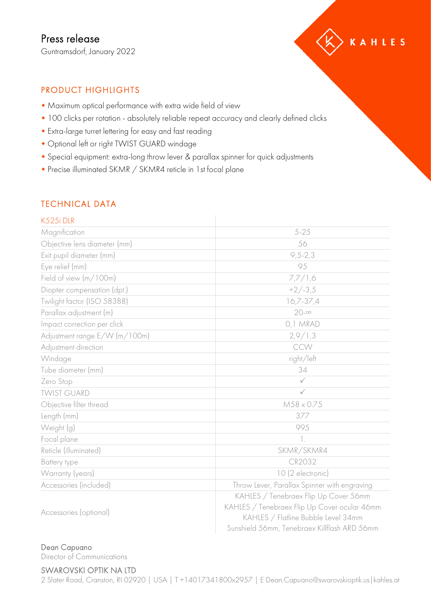

## PRODUCT HIGHLIGHTS

- Maximum optical performance with extra wide field of view
- 100 clicks per rotation absolutely reliable repeat accuracy and clearly defined clicks
- Extra-large turret lettering for easy and fast reading
- Optional left or right TWIST GUARD windage
- Special equipment: extra-long throw lever & parallax spinner for quick adjustments
- Precise illuminated SKMR / SKMR4 reticle in 1st focal plane

## TECHNICAL DATA

| K525i DLR                     |                                                                                                                                                                              |
|-------------------------------|------------------------------------------------------------------------------------------------------------------------------------------------------------------------------|
| Magnification                 | $5 - 25$                                                                                                                                                                     |
| Objective lens diameter (mm)  | 56                                                                                                                                                                           |
| Exit pupil diameter (mm)      | $9, 5 - 2, 3$                                                                                                                                                                |
| Eye relief (mm)               | 95                                                                                                                                                                           |
| Field of view (m/100m)        | 7,7/1,6                                                                                                                                                                      |
| Diopter compensation (dpt.)   | $+2/-3.5$                                                                                                                                                                    |
| Twilight factor (ISO 58388)   | $16,7-37,4$                                                                                                                                                                  |
| Parallax adjustment (m)       | $20 - \infty$                                                                                                                                                                |
| Impact correction per click   | 0,1 MRAD                                                                                                                                                                     |
| Adjustment range E/W (m/100m) | 2,9/1,3                                                                                                                                                                      |
| Adjustment direction          | CCW                                                                                                                                                                          |
| Windage                       | right/left                                                                                                                                                                   |
| Tube diameter (mm)            | 34                                                                                                                                                                           |
| Zero Stop                     | $\checkmark$                                                                                                                                                                 |
| <b>TWIST GUARD</b>            | $\checkmark$                                                                                                                                                                 |
| Objective filter thread       | $M58 \times 0.75$                                                                                                                                                            |
| Length (mm)                   | 377                                                                                                                                                                          |
| Weight (g)                    | 995                                                                                                                                                                          |
| Focal plane                   | 1.                                                                                                                                                                           |
| Reticle (illuminated)         | SKMR/SKMR4                                                                                                                                                                   |
| Battery type                  | CR2032                                                                                                                                                                       |
| Warranty (years)              | 10 (2 electronic)                                                                                                                                                            |
| Accessories (included)        | Throw Lever, Parallax Spinner with engraving                                                                                                                                 |
| Accessories (optional)        | KAHLES / Tenebraex Flip Up Cover 56mm<br>KAHLES / Tenebraex Flip Up Cover ocular 46mm<br>KAHLES / Flatline Bubble Level 34mm<br>Sunshield 56mm, Tenebraex Killflash ARD 56mm |

## Dean Capuano

Director of Communications

## SWAROVSKI OPTIK NA LTD

2 Slater Road, Cranston, RI 02920 | USA | T +14017341800x2957 | E Dean.Capuano@swarovskioptik.us | kahles.at